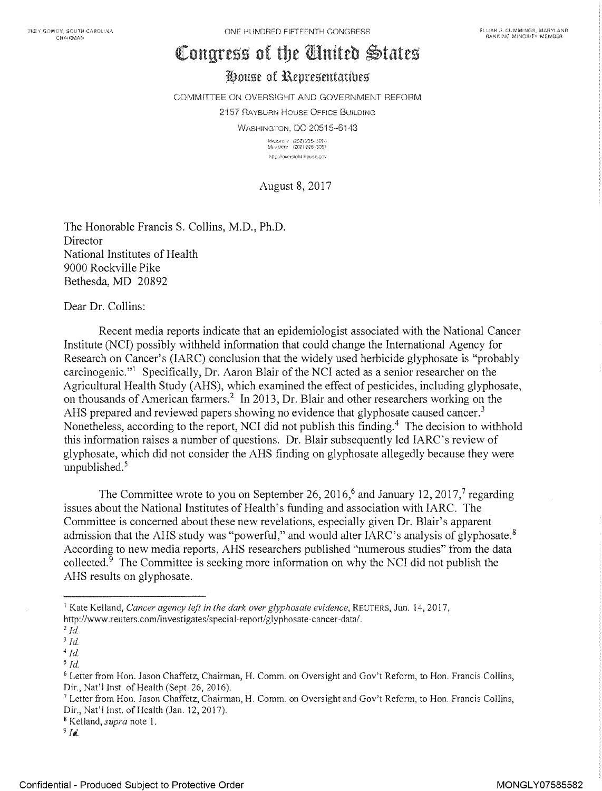# Congress of the Chnited States

## House of Representatives

COMMITTEE ON OVERSIGHT AND GOVERNMENT REFORM 2157 RAYBURN HOUSE OFFICE BUILDING WASHINGTON, DC 20515-6143

\*Mauderry (202) 225-5074<br>\*Mialorery (202) 225-5051 http://oversicht.house.gov

August 8, 2017

The Honorable Francis S. Collins, M.D., Ph.D. **Director** National Institutes of Health 9000 Rockville Pike Bethesda, MD <sup>20892</sup>

Dear Dr. Collins:

Recent media reports indicate that an epidemiologist associated with the National Cancer Institute (NCI) possibly withheld information that could change the International Agency for Research on Cancer's (IARC) conclusion that the widely used herbicide glyphosate is "probably carcinogenic."<sup>1</sup> Specifically, Dr. Aaron Blair of the NCI acted as a senior researcher on the Agricultural Health Study (AHS), which examined the effect of pesticides, including glyphosate, on thousands of American farmers.<sup>2</sup> In 2013, Dr. Blair and other researchers working on the AHS prepared and reviewed papers showing no evidence that glyphosate caused cancer.<sup>3</sup> Nonetheless, according to the report, NCI did not publish this finding.<sup>4</sup> The decision to withhold this information raises a number of questions. Dr. Blair subsequently led IARC's review of glyphosate, which did not consider the AHS finding on glyphosate allegedly because they were unpublished. $5$ 

The Committee wrote to you on September 26, 2016,<sup>6</sup> and January 12, 2017,<sup>7</sup> regarding issues about the National Institutes of Health's funding and association with IARC. The Committee is concerned about these new revelations, especially given Dr. Blair's apparent admission that the AHS study was "powerful," and would alter IARC's analysis of glyphosate. $8$ According to new media reports, AHS researchers published "numerous studies" from the data collected.<sup>9</sup> The Committee is seeking more information on why the NCI did not publish the AHS results on glyphosate.

<sup>&#</sup>x27; Kate Kelland, Cancer agency left in the dark over glyphosate evidence, REUTERS, Jun. 14, 2017, http://www.reuters.com/investigates/special-report/glyphosate-cancer-data/.

 $2$   $Id.$ 

 $3$   $Id.$ 

 $4$  Id.

 $^{\rm 5}$   $ld.$ 

<sup>6</sup> Letter from Hon. Jason Chaffetz, Chairman, H. Comm. on Oversight and Gov't Reform, to Hon. Francis Collins, Dir., Nat'l Inst. of Health (Sept. 26, 2016).

<sup>&#</sup>x27; Letter from Hon. Jason Chaffetz, Chairman, H. Comm. on Oversight and Gov't Reform, to Hon. Francis Collins, Dir., Nat'l Inst. of Health (Jan. 12, 2017).

<sup>&</sup>lt;sup>8</sup> Kelland, *supra* note 1.

 $9$  Id.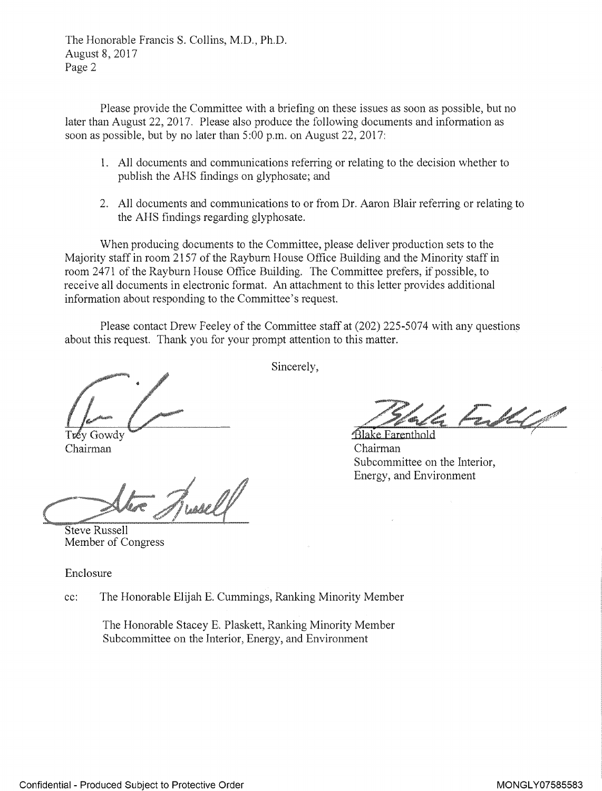The Honorable Francis S. Collins, M.D., Ph.D. August 8, 2017 Page 2

Please provide the Committee with a briefing on these issues as soon as possible, but no later than August 22, 2017. Please also produce the following documents and information as soon as possible, but by no later than 5:00 p.m. on August 22, 2017:

- All documents and communications referring or relating to the decision whether to publish the AHS findings on glyphosate; and
- 2. All documents and communications to or from Dr. Aaron Blair referring or relating to the AHS findings regarding [glyphosate.](https://www.baumhedlundlaw.com/)

When producing documents to the Committee, please deliver production sets to the Majority staff in room 2157 of the Rayburn House Office Building and the Minority staff in room 2471 of the Rayburn House Office Building. The Committee prefers, if possible, to receive all documents in electronic format. An attachment to this letter provides additional information about responding to the Committee's request.

Please contact Drew Feeley of the Committee staff at (202) 225-5074 with any questions about this request. Thank you for your prompt attention to this matter.

Chairman

Steve Russell Member of Congress

Enclosure

cc: The Honorable Elijah E. Cummings, Ranking Minority Member

The Honorable Stacey E. Plaskett, Ranking Minority Member Subcommittee on the Interior, Energy, and Environment

Sincerely,

Blake Farenthold Chairman Subcommittee on the Interior, Energy, and Environment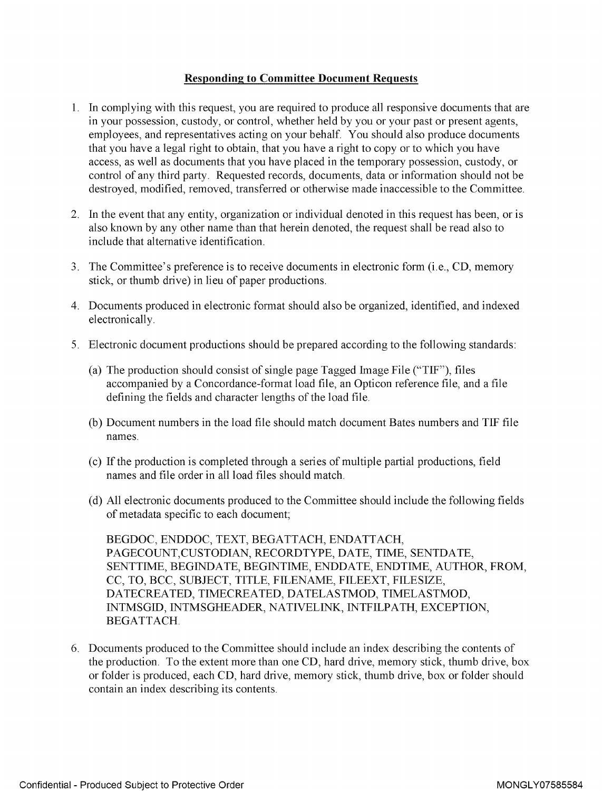#### Responding to Committee Document Requests

- 1. In complying with this request, you are required to produce all responsive documents that are in your possession, custody, or control, whether held by you or your past or present agents, employees, and representatives acting on your behalf. You should also produce documents that you have a legal right to obtain, that you have a right to copy or to which you have access, as well as documents that you have placed in the temporary possession, custody, or control of any third party. Requested records, documents, data or information should not be destroyed, modified, removed, transferred or otherwise made inaccessible to the Committee.
- 2. In the event that any entity, organization or individual denoted in this request has been, or is also known by any other name than that herein denoted, the request shall be read also to include that alternative identification.
- 3. The Committee's preference is to receive documents in electronic form (i.e., CD, memory stick, or thumb drive) in lieu of paper productions.
- 4. Documents produced in electronic format should also be organized, identified, and indexed electronically.
- 5. Electronic document productions should be prepared according to the following standards:
	- (a) The production should consist of single page Tagged Image File ("TIF"), files accompanied by a Concordance-format load file, an Opticon reference file, and a file defining the fields and character lengths of the load file.
	- (b) Document numbers in the load file should match document Bates numbers and TIF file names.
	- (c) If the production is completed through a series of multiple partial productions, field names and file order in all load files should match.
	- (d) All electronic documents produced to the Committee should include the following fields of metadata specific to each document;

BEGDOC, ENDDOC, TEXT, BEGATTACH, ENDATTACH, PAGECOUNT,CUSTODIAN, RECORDTYPE, DATE, TIME, SENTDATE, SENTTIME, BEGINDATE, BEGINTIME, ENDDATE, ENDTIME, AUTHOR, FROM, CC, TO, BCC, SUBJECT, TITLE, FILENAME, FILEEXT, FILESIZE, DATECREATED, TIMECREATED, DATELASTMOD, TIMELASTMOD, INTMSGID, INTMSGHEADER, NATIVELINK, INTFILPATH, EXCEPTION, BEGATTACH.

6. Documents produced to the Committee should include an index describing the contents of the production. To the extent more than one CD, hard drive, memory stick, thumb drive, box or folder is produced, each CD, hard drive, memory stick, thumb drive, box or folder should contain an index describing its contents.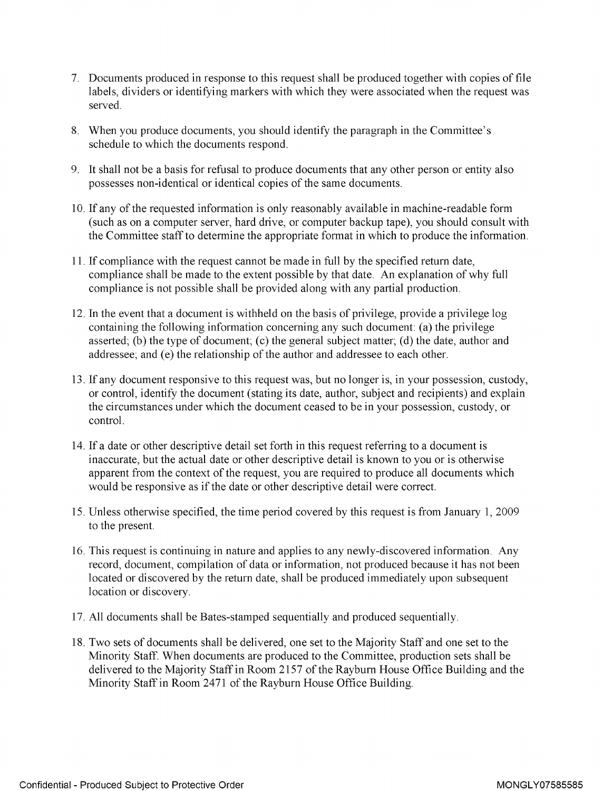- 7. Documents produced in response to this request shall be produced together with copies of file labels, dividers or identifying markers with which they were associated when the request was served.
- 8. When you produce documents, you should identify the paragraph in the Committee's schedule to which the documents respond.
- 9. It shall not be a basis for refusal to produce documents that any other person or entity also possesses non-identical or identical copies of the same documents.
- 10. If any of the requested information is only reasonably available in machine- readable form (such as on a computer server, hard drive, or computer backup tape), you should consult with the Committee staff to determine the appropriate format in which to produce the information.
- 11. If compliance with the request cannot be made in full by the specified return date, compliance shall be made to the extent possible by that date. An explanation of why full compliance is not possible shall be provided along with any partial production.
- 12. In the event that a document is withheld on the basis of privilege, provide a privilege log containing the following information concerning any such document: (a) the privilege asserted; (b) the type of document; (c) the general subject matter; (d) the date, author and addressee ; and (e) the relationship of the author and addressee to each other.
- 13. If any document responsive to this request was, but no longer is, in your possession, custody, or control, identify the document (stating its date, author, subject and recipients) and explain the circumstances under which the document ceased to be in your possession, custody, or control.
- 14. If a date or other descriptive detail set forth in this request referring to a document is inaccurate, but the actual date or other descriptive detail is known to you or is otherwise apparent from the context of the request, you are required to produce all documents which would be responsive as if the date or other descriptive detail were correct.
- 15. Unless otherwise specified, the time period covered by this request is from January 1, 2009 to the present.
- 16. This request is continuing in nature and applies to any newly- discovered information. Any record, document, compilation of data or information, not produced because it has not been located or discovered by the return date, shall be produced immediately upon subsequent location or discovery.
- 17. All documents shall be Bates-stamped sequentially and produced sequentially.
- 18. Two sets of documents shall be delivered, one set to the Majority Staff and one set to the Minority Staff. When documents are produced to the Committee, production sets shall be delivered to the Majority Staff in Room 2157 of the Rayburn House Office Building and the Minority Staff in Room 2471 of the Rayburn House Office Building.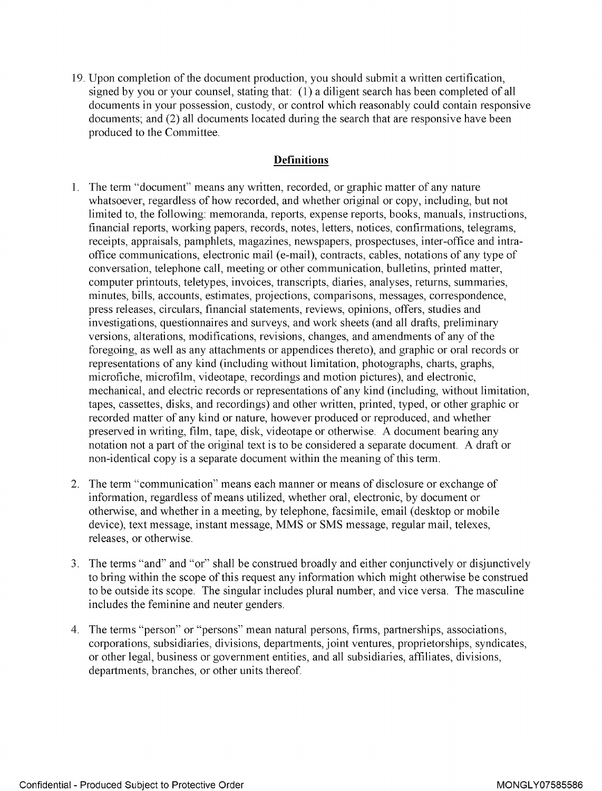19. Upon completion of the document production, you should submit <sup>a</sup> written certification, signed by you or your counsel, stating that: (1) a diligent search has been completed of all documents in your possession, custody, or control which reasonably could contain responsive documents; and (2) all documents located during the search that are responsive have been produced to the Committee.

#### **Definitions**

- 1. The term "document" means any written, recorded, or graphic matter of any nature whatsoever, regardless of how recorded, and whether original or copy, including, but not limited to, the following: memoranda, reports, expense reports, books, manuals, instructions, financial reports, working papers, records, notes, letters, notices, confirmations, telegrams, receipts, appraisals, pamphlets, magazines, newspapers, prospectuses, inter-office and intraoffice communications, electronic mail (e-mail), contracts, cables, notations of any type of conversation, telephone call, meeting or other communication, bulletins, printed matter, computer printouts, teletypes, invoices, transcripts, diaries, analyses, returns, summaries, minutes, bills, accounts, estimates, projections, comparisons, messages, correspondence, press releases, circulars, financial statements, reviews, opinions, offers, studies and investigations, questionnaires and surveys, and work sheets (and all drafts, preliminary versions, alterations, modifications, revisions, changes, and amendments of any of the foregoing, as well as any attachments or appendices thereto), and graphic or oral records or representations of any kind (including without limitation, photographs, charts, graphs, microfiche, microfilm, videotape, recordings and motion pictures), and electronic, mechanical, and electric records or representations of any kind (including, without limitation, tapes, cassettes, disks, and recordings) and other written, printed, typed, or other graphic or recorded matter of any kind or nature, however produced or reproduced, and whether preserved in writing, film, tape, disk, videotape or otherwise. A document bearing any notation not <sup>a</sup> part of the original text is to be considered <sup>a</sup> separate document. A draft or non-identical copy is a separate document within the meaning of this term.
- 2. The term "communication" means each manner or means of disclosure or exchange of information, regardless of means utilized, whether oral, electronic, by document or otherwise, and whether in a meeting, by telephone, facsimile, email (desktop or mobile device), text message, instant message, MMS or SMS message, regular mail, telexes, releases, or otherwise.
- 3. The terms "and" and "or" shall be construed broadly and either conjunctively or disjunctively to bring within the scope of this request any information which might otherwise be construed to be outside its scope. The singular includes plural number, and vice versa. The masculine includes the feminine and neuter genders.
- 4. The terms "person" or "persons" mean natural persons, firms, partnerships, associations, corporations, subsidiaries, divisions, departments, joint ventures, proprietorships, syndicates, or other legal, business or government entities, and all subsidiaries, affiliates, divisions, departments, branches, or other units thereof.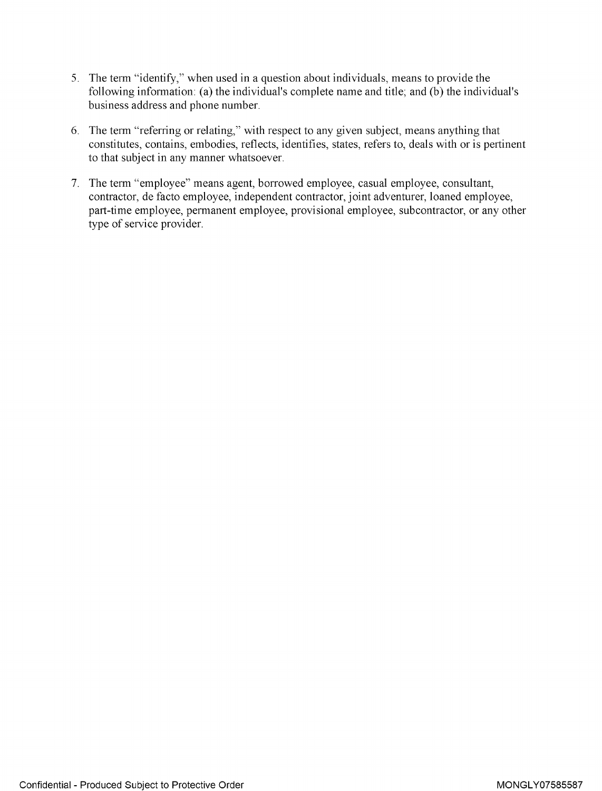- 5. The term "identify," when used in a question about individuals, means to provide the following information: (a) the individual's complete name and title; and (b) the individual's business address and phone number.
- 6. The term "referring or relating," with respect to any given subject, means anything that constitutes, contains, embodies, reflects, identifies, states, refers to, deals with or is pertinent to that subject in any manner whatsoever.
- 7. The term "employee" means agent, borrowed employee, casual employee, consultant, contractor, de facto employee, independent contractor, joint adventurer, loaned employee, part-time employee, permanent employee, provisional employee, subcontractor, or any other type of service provider.